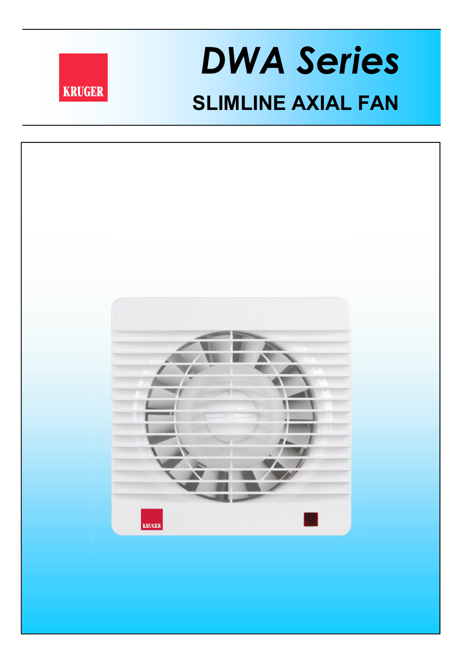

## **SLIMLINE AXIAL FAN** *DWA Series*